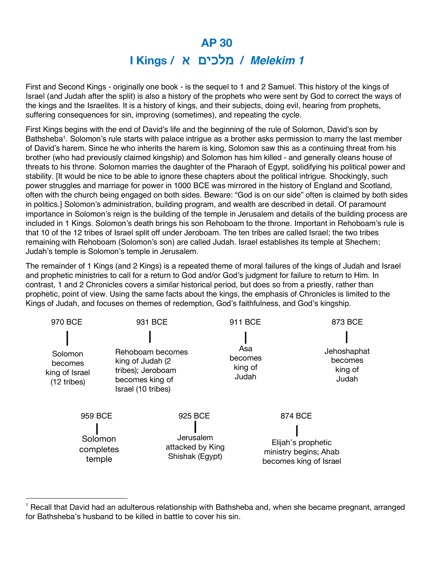## **AP 30 I Kings /** !!"" #\$%&' **/** *Melekim 1*

First and Second Kings - originally one book - is the sequel to 1 and 2 Samuel. This history of the kings of Israel (and Judah after the split) is also a history of the prophets who were sent by God to correct the ways of the kings and the Israelites. It is a history of kings, and their subjects, doing evil, hearing from prophets, suffering consequences for sin, improving (sometimes), and repeating the cycle.

First Kings begins with the end of David's life and the beginning of the rule of Solomon, David's son by Bathsheba<sup>1</sup>. Solomon's rule starts with palace intrigue as a brother asks permission to marry the last member of David's harem. Since he who inherits the harem is king, Solomon saw this as a continuing threat from his brother (who had previously claimed kingship) and Solomon has him killed - and generally cleans house of threats to his throne. Solomon marries the daughter of the Pharaoh of Egypt, solidifying his political power and stability. [It would be nice to be able to ignore these chapters about the political intrigue. Shockingly, such power struggles and marriage for power in 1000 BCE was mirrored in the history of England and Scotland, often with the church being engaged on both sides. Beware: "God is on our side" often is claimed by both sides in politics.] Solomon's administration, building program, and wealth are described in detail. Of paramount importance in Solomon's reign is the building of the temple in Jerusalem and details of the building process are included in 1 Kings. Solomon's death brings his son Rehoboam to the throne. Important in Rehoboam's rule is that 10 of the 12 tribes of Israel split off under Jeroboam. The ten tribes are called Israel; the two tribes remaining with Rehoboam (Solomon's son) are called Judah. Israel establishes its temple at Shechem; Judah's temple is Solomon's temple in Jerusalem.

The remainder of 1 Kings (and 2 Kings) is a repeated theme of moral failures of the kings of Judah and Israel and prophetic ministries to call for a return to God and/or God's judgment for failure to return to Him. In contrast, 1 and 2 Chronicles covers a similar historical period, but does so from a priestly, rather than prophetic, point of view. Using the same facts about the kings, the emphasis of Chronicles is limited to the Kings of Judah, and focuses on themes of redemption, God's faithfulness, and God's kingship.

| 970 BCE                                             | 931 BCE                                                                                             |                                                             | 911 BCE                            | 873 BCE                                                                          |
|-----------------------------------------------------|-----------------------------------------------------------------------------------------------------|-------------------------------------------------------------|------------------------------------|----------------------------------------------------------------------------------|
| Solomon<br>becomes<br>king of Israel<br>(12 tribes) | Rehoboam becomes<br>king of Judah (2)<br>tribes); Jeroboam<br>becomes king of<br>Israel (10 tribes) |                                                             | Asa<br>becomes<br>king of<br>Judah | Jehoshaphat<br>becomes<br>king of<br>Judah                                       |
| 959 BCE<br>Solomon<br>completes<br>temple           |                                                                                                     | 925 BCE<br>Jerusalem<br>attacked by King<br>Shishak (Egypt) |                                    | 874 BCE<br>Elijah's prophetic<br>ministry begins; Ahab<br>becomes king of Israel |

<sup>&</sup>lt;sup>1</sup> Recall that David had an adulterous relationship with Bathsheba and, when she became pregnant, arranged for Bathsheba's husband to be killed in battle to cover his sin.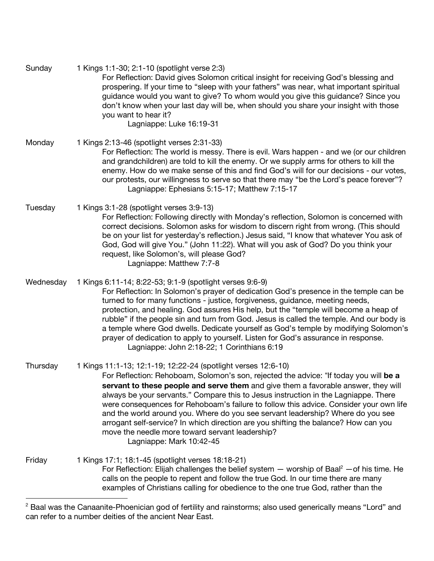Sunday 1 Kings 1:1-30; 2:1-10 (spotlight verse 2:3) For Reflection: David gives Solomon critical insight for receiving God's blessing and prospering. If your time to "sleep with your fathers" was near, what important spiritual guidance would you want to give? To whom would you give this guidance? Since you don't know when your last day will be, when should you share your insight with those you want to hear it? Lagniappe: Luke 16:19-31 Monday 1 Kings 2:13-46 (spotlight verses 2:31-33) For Reflection: The world is messy. There is evil. Wars happen - and we (or our children and grandchildren) are told to kill the enemy. Or we supply arms for others to kill the enemy. How do we make sense of this and find God's will for our decisions - our votes, our protests, our willingness to serve so that there may "be the Lord's peace forever"? Lagniappe: Ephesians 5:15-17; Matthew 7:15-17 Tuesday 1 Kings 3:1-28 (spotlight verses 3:9-13) For Reflection: Following directly with Monday's reflection, Solomon is concerned with correct decisions. Solomon asks for wisdom to discern right from wrong. (This should be on your list for yesterday's reflection.) Jesus said, "I know that whatever You ask of God, God will give You." (John 11:22). What will you ask of God? Do you think your request, like Solomon's, will please God? Lagniappe: Matthew 7:7-8 Wednesday 1 Kings 6:11-14; 8:22-53; 9:1-9 (spotlight verses 9:6-9) For Reflection: In Solomon's prayer of dedication God's presence in the temple can be turned to for many functions - justice, forgiveness, guidance, meeting needs, protection, and healing. God assures His help, but the "temple will become a heap of rubble" if the people sin and turn from God. Jesus is called the temple. And our body is a temple where God dwells. Dedicate yourself as God's temple by modifying Solomon's prayer of dedication to apply to yourself. Listen for God's assurance in response. Lagniappe: John 2:18-22; 1 Corinthians 6:19 Thursday 1 Kings 11:1-13; 12:1-19; 12:22-24 (spotlight verses 12:6-10) For Reflection: Rehoboam, Solomon's son, rejected the advice: !If today you will **be a servant to these people and serve them** and give them a favorable answer, they will always be your servants." Compare this to Jesus instruction in the Lagniappe. There were consequences for Rehoboam's failure to follow this advice. Consider your own life and the world around you. Where do you see servant leadership? Where do you see arrogant self-service? In which direction are you shifting the balance? How can you move the needle more toward servant leadership? Lagniappe: Mark 10:42-45 Friday 1 Kings 17:1; 18:1-45 (spotlight verses 18:18-21) For Reflection: Elijah challenges the belief system  $-$  worship of Baal<sup>2</sup>  $-$  of his time. He calls on the people to repent and follow the true God. In our time there are many examples of Christians calling for obedience to the one true God, rather than the

<sup>&</sup>lt;sup>2</sup> Baal was the Canaanite-Phoenician god of fertility and rainstorms; also used generically means "Lord" and can refer to a number deities of the ancient Near East.